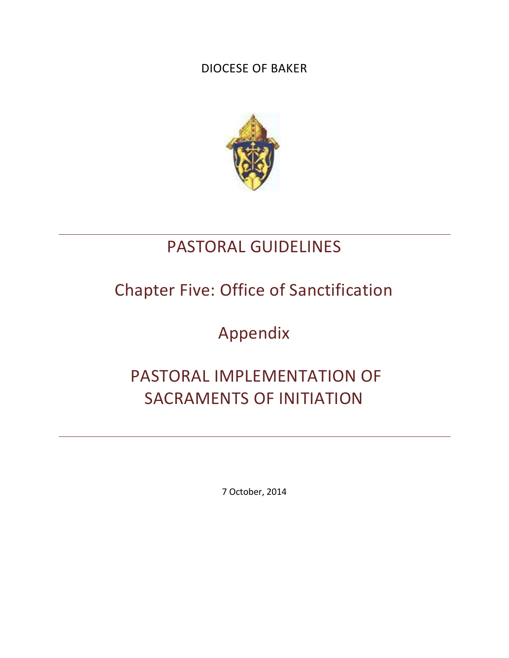## DIOCESE OF BAKER



## PASTORAL GUIDELINES

# Chapter Five: Office of Sanctification

Appendix

# PASTORAL IMPLEMENTATION OF SACRAMENTS OF INITIATION

7 October, 2014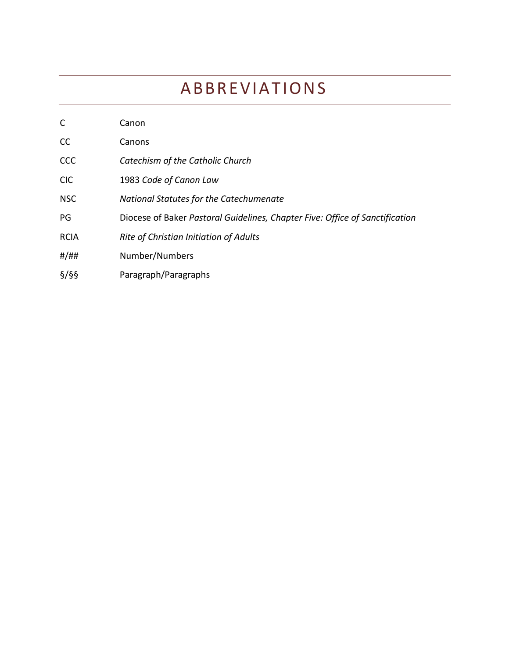# **ABBREVIATIONS**

| $\mathsf{C}$ | Canon                                                                        |
|--------------|------------------------------------------------------------------------------|
| CC           | Canons                                                                       |
| <b>CCC</b>   | Catechism of the Catholic Church                                             |
| <b>CIC</b>   | 1983 Code of Canon Law                                                       |
| <b>NSC</b>   | National Statutes for the Catechumenate                                      |
| PG           | Diocese of Baker Pastoral Guidelines, Chapter Five: Office of Sanctification |
| <b>RCIA</b>  | Rite of Christian Initiation of Adults                                       |
| #/##         | Number/Numbers                                                               |
| $\S$ /§§     | Paragraph/Paragraphs                                                         |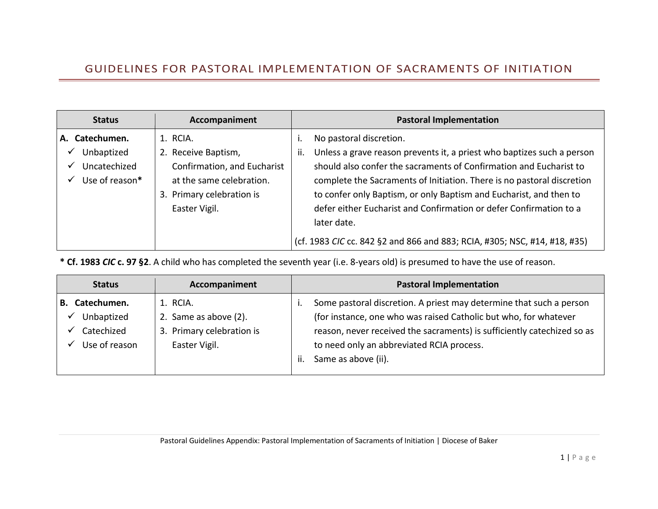## GUIDELINES FOR PASTORAL IMPLEMENTATION OF SACRAMENTS OF INITIATION

| <b>Status</b>                                                     | Accompaniment                                                                                                                            | <b>Pastoral Implementation</b>                                                                                                                                                                                                                                                                                                                                                                                                                                                                   |
|-------------------------------------------------------------------|------------------------------------------------------------------------------------------------------------------------------------------|--------------------------------------------------------------------------------------------------------------------------------------------------------------------------------------------------------------------------------------------------------------------------------------------------------------------------------------------------------------------------------------------------------------------------------------------------------------------------------------------------|
| Catechumen.<br>А.<br>Unbaptized<br>Uncatechized<br>Use of reason* | 1. RCIA.<br>2. Receive Baptism,<br>Confirmation, and Eucharist<br>at the same celebration.<br>3. Primary celebration is<br>Easter Vigil. | No pastoral discretion.<br>Unless a grave reason prevents it, a priest who baptizes such a person<br>ii.<br>should also confer the sacraments of Confirmation and Eucharist to<br>complete the Sacraments of Initiation. There is no pastoral discretion<br>to confer only Baptism, or only Baptism and Eucharist, and then to<br>defer either Eucharist and Confirmation or defer Confirmation to a<br>later date.<br>(cf. 1983 CIC cc. 842 §2 and 866 and 883; RCIA, #305; NSC, #14, #18, #35) |

**\* Cf. 1983** *CIC* **c. 97 §2**. A child who has completed the seventh year (i.e. 8-years old) is presumed to have the use of reason.

| <b>Status</b>                                                  | Accompaniment                                                                   | <b>Pastoral Implementation</b>                                                                                                                                                                                                                                                                |
|----------------------------------------------------------------|---------------------------------------------------------------------------------|-----------------------------------------------------------------------------------------------------------------------------------------------------------------------------------------------------------------------------------------------------------------------------------------------|
| Catechumen.<br>В.<br>Unbaptized<br>Catechized<br>Use of reason | 1. RCIA.<br>2. Same as above (2).<br>3. Primary celebration is<br>Easter Vigil. | Some pastoral discretion. A priest may determine that such a person<br>(for instance, one who was raised Catholic but who, for whatever<br>reason, never received the sacraments) is sufficiently catechized so as<br>to need only an abbreviated RCIA process.<br>Same as above (ii).<br>ii. |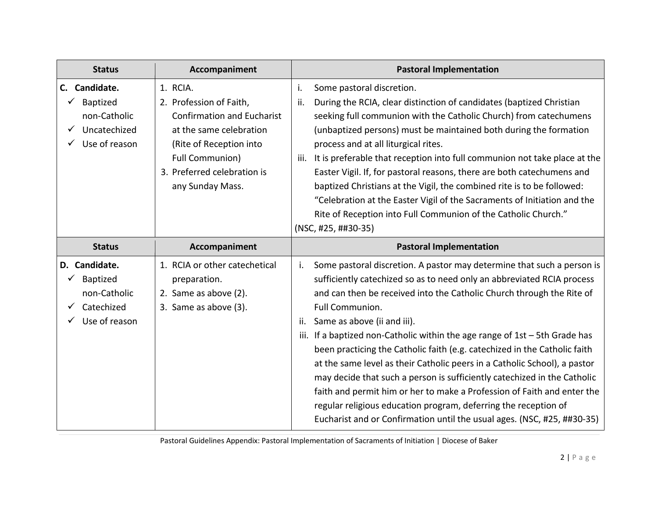| <b>Status</b>                                                                 | Accompaniment                                                                                                                                                                                               | <b>Pastoral Implementation</b>                                                                                                                                                                                                                                                                                                                                                                                                                                                                                                                                                                                                                                                                                                                                                                                                           |
|-------------------------------------------------------------------------------|-------------------------------------------------------------------------------------------------------------------------------------------------------------------------------------------------------------|------------------------------------------------------------------------------------------------------------------------------------------------------------------------------------------------------------------------------------------------------------------------------------------------------------------------------------------------------------------------------------------------------------------------------------------------------------------------------------------------------------------------------------------------------------------------------------------------------------------------------------------------------------------------------------------------------------------------------------------------------------------------------------------------------------------------------------------|
| Candidate.<br>C.<br>Baptized<br>non-Catholic<br>Uncatechized<br>Use of reason | 1. RCIA.<br>2. Profession of Faith,<br><b>Confirmation and Eucharist</b><br>at the same celebration<br>(Rite of Reception into<br><b>Full Communion)</b><br>3. Preferred celebration is<br>any Sunday Mass. | i.<br>Some pastoral discretion.<br>During the RCIA, clear distinction of candidates (baptized Christian<br>ii.<br>seeking full communion with the Catholic Church) from catechumens<br>(unbaptized persons) must be maintained both during the formation<br>process and at all liturgical rites.<br>It is preferable that reception into full communion not take place at the<br>iii.<br>Easter Vigil. If, for pastoral reasons, there are both catechumens and<br>baptized Christians at the Vigil, the combined rite is to be followed:<br>"Celebration at the Easter Vigil of the Sacraments of Initiation and the<br>Rite of Reception into Full Communion of the Catholic Church."<br>(NSC, #25, ##30-35)                                                                                                                           |
| <b>Status</b>                                                                 | Accompaniment                                                                                                                                                                                               | <b>Pastoral Implementation</b>                                                                                                                                                                                                                                                                                                                                                                                                                                                                                                                                                                                                                                                                                                                                                                                                           |
| D. Candidate.<br>Baptized<br>non-Catholic<br>Catechized<br>Use of reason      | 1. RCIA or other catechetical<br>preparation.<br>2. Same as above (2).<br>3. Same as above (3).                                                                                                             | Some pastoral discretion. A pastor may determine that such a person is<br>i.<br>sufficiently catechized so as to need only an abbreviated RCIA process<br>and can then be received into the Catholic Church through the Rite of<br>Full Communion.<br>Same as above (ii and iii).<br>ii.<br>iii. If a baptized non-Catholic within the age range of $1st - 5th$ Grade has<br>been practicing the Catholic faith (e.g. catechized in the Catholic faith<br>at the same level as their Catholic peers in a Catholic School), a pastor<br>may decide that such a person is sufficiently catechized in the Catholic<br>faith and permit him or her to make a Profession of Faith and enter the<br>regular religious education program, deferring the reception of<br>Eucharist and or Confirmation until the usual ages. (NSC, #25, ##30-35) |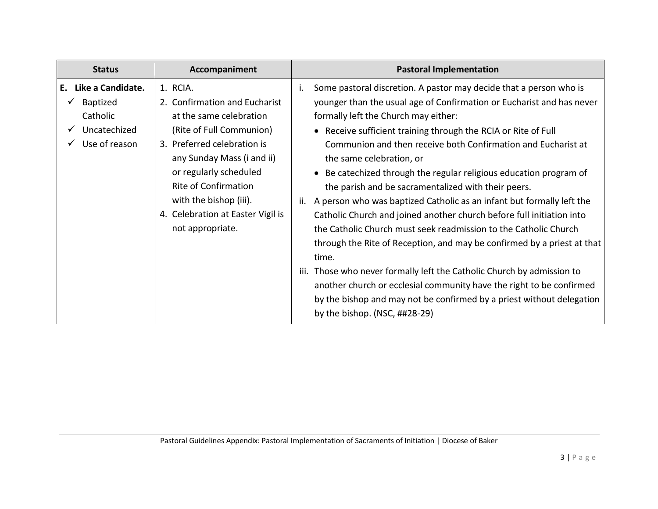| <b>Status</b>                                                                           | Accompaniment                                                                                                                                                                                                                                                                                             | <b>Pastoral Implementation</b>                                                                                                                                                                                                                                                                                                                                                                                                                                                                                                                                                                                                                                                                                                                                                                                                                                                                                                                                                                                                                                     |
|-----------------------------------------------------------------------------------------|-----------------------------------------------------------------------------------------------------------------------------------------------------------------------------------------------------------------------------------------------------------------------------------------------------------|--------------------------------------------------------------------------------------------------------------------------------------------------------------------------------------------------------------------------------------------------------------------------------------------------------------------------------------------------------------------------------------------------------------------------------------------------------------------------------------------------------------------------------------------------------------------------------------------------------------------------------------------------------------------------------------------------------------------------------------------------------------------------------------------------------------------------------------------------------------------------------------------------------------------------------------------------------------------------------------------------------------------------------------------------------------------|
| Like a Candidate.<br>Е.<br><b>Baptized</b><br>Catholic<br>Uncatechized<br>Use of reason | 1. RCIA.<br>2. Confirmation and Eucharist<br>at the same celebration<br>(Rite of Full Communion)<br>3. Preferred celebration is<br>any Sunday Mass (i and ii)<br>or regularly scheduled<br><b>Rite of Confirmation</b><br>with the bishop (iii).<br>4. Celebration at Easter Vigil is<br>not appropriate. | Some pastoral discretion. A pastor may decide that a person who is<br>۱.<br>younger than the usual age of Confirmation or Eucharist and has never<br>formally left the Church may either:<br>• Receive sufficient training through the RCIA or Rite of Full<br>Communion and then receive both Confirmation and Eucharist at<br>the same celebration, or<br>Be catechized through the regular religious education program of<br>the parish and be sacramentalized with their peers.<br>A person who was baptized Catholic as an infant but formally left the<br>ii.<br>Catholic Church and joined another church before full initiation into<br>the Catholic Church must seek readmission to the Catholic Church<br>through the Rite of Reception, and may be confirmed by a priest at that<br>time.<br>iii. Those who never formally left the Catholic Church by admission to<br>another church or ecclesial community have the right to be confirmed<br>by the bishop and may not be confirmed by a priest without delegation<br>by the bishop. $(NSC, ##28-29)$ |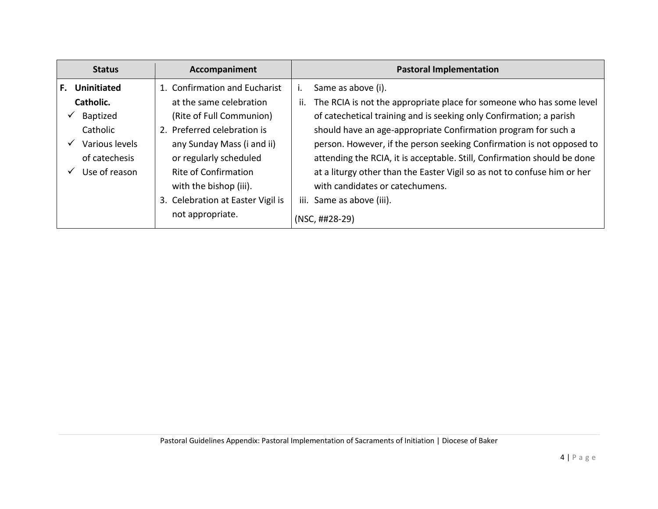| <b>Status</b>                                                                                                     | Accompaniment                                                                                                                                                                                                                                                                          | <b>Pastoral Implementation</b>                                                                                                                                                                                                                                                                                                                                                                                                                                                                                                                                        |
|-------------------------------------------------------------------------------------------------------------------|----------------------------------------------------------------------------------------------------------------------------------------------------------------------------------------------------------------------------------------------------------------------------------------|-----------------------------------------------------------------------------------------------------------------------------------------------------------------------------------------------------------------------------------------------------------------------------------------------------------------------------------------------------------------------------------------------------------------------------------------------------------------------------------------------------------------------------------------------------------------------|
| <b>Uninitiated</b><br>F.<br>Catholic.<br>Baptized<br>Catholic<br>Various levels<br>of catechesis<br>Use of reason | 1. Confirmation and Eucharist<br>at the same celebration<br>(Rite of Full Communion)<br>2. Preferred celebration is<br>any Sunday Mass (i and ii)<br>or regularly scheduled<br>Rite of Confirmation<br>with the bishop (iii).<br>3. Celebration at Easter Vigil is<br>not appropriate. | Same as above (i).<br>۱.<br>The RCIA is not the appropriate place for someone who has some level<br>ii.<br>of catechetical training and is seeking only Confirmation; a parish<br>should have an age-appropriate Confirmation program for such a<br>person. However, if the person seeking Confirmation is not opposed to<br>attending the RCIA, it is acceptable. Still, Confirmation should be done<br>at a liturgy other than the Easter Vigil so as not to confuse him or her<br>with candidates or catechumens.<br>iii. Same as above (iii).<br>$(NSC, ##28-29)$ |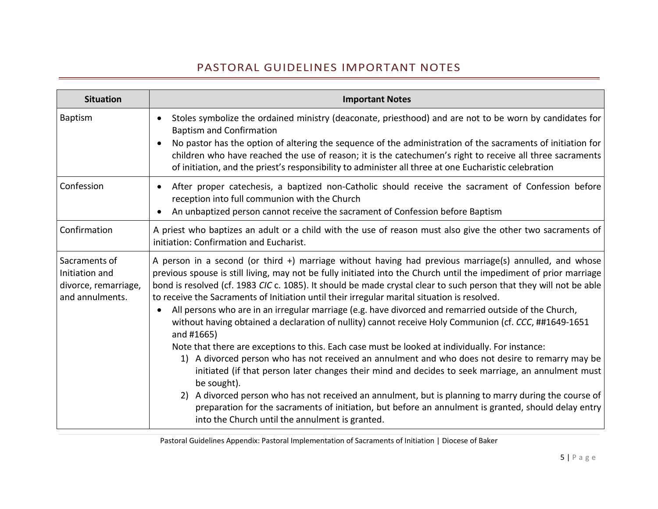### PASTORAL GUIDELINES IMPORTANT NOTES

| <b>Situation</b>                                                           | <b>Important Notes</b>                                                                                                                                                                                                                                                                                                                                                                                                                                                                                                                                                                                                                                                                                                                                                                                                                                                                                                                                                                                                                                                                                                                                                                                                                                                             |
|----------------------------------------------------------------------------|------------------------------------------------------------------------------------------------------------------------------------------------------------------------------------------------------------------------------------------------------------------------------------------------------------------------------------------------------------------------------------------------------------------------------------------------------------------------------------------------------------------------------------------------------------------------------------------------------------------------------------------------------------------------------------------------------------------------------------------------------------------------------------------------------------------------------------------------------------------------------------------------------------------------------------------------------------------------------------------------------------------------------------------------------------------------------------------------------------------------------------------------------------------------------------------------------------------------------------------------------------------------------------|
| <b>Baptism</b>                                                             | Stoles symbolize the ordained ministry (deaconate, priesthood) and are not to be worn by candidates for<br><b>Baptism and Confirmation</b><br>No pastor has the option of altering the sequence of the administration of the sacraments of initiation for<br>children who have reached the use of reason; it is the catechumen's right to receive all three sacraments<br>of initiation, and the priest's responsibility to administer all three at one Eucharistic celebration                                                                                                                                                                                                                                                                                                                                                                                                                                                                                                                                                                                                                                                                                                                                                                                                    |
| Confession                                                                 | After proper catechesis, a baptized non-Catholic should receive the sacrament of Confession before<br>reception into full communion with the Church<br>An unbaptized person cannot receive the sacrament of Confession before Baptism                                                                                                                                                                                                                                                                                                                                                                                                                                                                                                                                                                                                                                                                                                                                                                                                                                                                                                                                                                                                                                              |
| Confirmation                                                               | A priest who baptizes an adult or a child with the use of reason must also give the other two sacraments of<br>initiation: Confirmation and Eucharist.                                                                                                                                                                                                                                                                                                                                                                                                                                                                                                                                                                                                                                                                                                                                                                                                                                                                                                                                                                                                                                                                                                                             |
| Sacraments of<br>Initiation and<br>divorce, remarriage,<br>and annulments. | A person in a second (or third +) marriage without having had previous marriage(s) annulled, and whose<br>previous spouse is still living, may not be fully initiated into the Church until the impediment of prior marriage<br>bond is resolved (cf. 1983 CIC c. 1085). It should be made crystal clear to such person that they will not be able<br>to receive the Sacraments of Initiation until their irregular marital situation is resolved.<br>All persons who are in an irregular marriage (e.g. have divorced and remarried outside of the Church,<br>without having obtained a declaration of nullity) cannot receive Holy Communion (cf. CCC, ##1649-1651<br>and #1665)<br>Note that there are exceptions to this. Each case must be looked at individually. For instance:<br>1) A divorced person who has not received an annulment and who does not desire to remarry may be<br>initiated (if that person later changes their mind and decides to seek marriage, an annulment must<br>be sought).<br>2) A divorced person who has not received an annulment, but is planning to marry during the course of<br>preparation for the sacraments of initiation, but before an annulment is granted, should delay entry<br>into the Church until the annulment is granted. |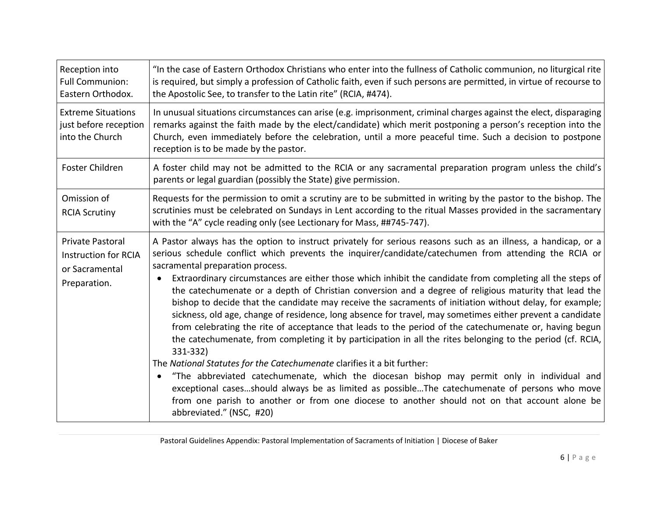| Reception into<br><b>Full Communion:</b><br>Eastern Orthodox.                     | "In the case of Eastern Orthodox Christians who enter into the fullness of Catholic communion, no liturgical rite<br>is required, but simply a profession of Catholic faith, even if such persons are permitted, in virtue of recourse to<br>the Apostolic See, to transfer to the Latin rite" (RCIA, #474).                                                                                                                                                                                                                                                                                                                                                                                                                                                                                                                                                                                                                                                                                                                                                                                                                                                                                                                                                                                                                                          |
|-----------------------------------------------------------------------------------|-------------------------------------------------------------------------------------------------------------------------------------------------------------------------------------------------------------------------------------------------------------------------------------------------------------------------------------------------------------------------------------------------------------------------------------------------------------------------------------------------------------------------------------------------------------------------------------------------------------------------------------------------------------------------------------------------------------------------------------------------------------------------------------------------------------------------------------------------------------------------------------------------------------------------------------------------------------------------------------------------------------------------------------------------------------------------------------------------------------------------------------------------------------------------------------------------------------------------------------------------------------------------------------------------------------------------------------------------------|
| <b>Extreme Situations</b><br>just before reception<br>into the Church             | In unusual situations circumstances can arise (e.g. imprisonment, criminal charges against the elect, disparaging<br>remarks against the faith made by the elect/candidate) which merit postponing a person's reception into the<br>Church, even immediately before the celebration, until a more peaceful time. Such a decision to postpone<br>reception is to be made by the pastor.                                                                                                                                                                                                                                                                                                                                                                                                                                                                                                                                                                                                                                                                                                                                                                                                                                                                                                                                                                |
| Foster Children                                                                   | A foster child may not be admitted to the RCIA or any sacramental preparation program unless the child's<br>parents or legal guardian (possibly the State) give permission.                                                                                                                                                                                                                                                                                                                                                                                                                                                                                                                                                                                                                                                                                                                                                                                                                                                                                                                                                                                                                                                                                                                                                                           |
| Omission of<br><b>RCIA Scrutiny</b>                                               | Requests for the permission to omit a scrutiny are to be submitted in writing by the pastor to the bishop. The<br>scrutinies must be celebrated on Sundays in Lent according to the ritual Masses provided in the sacramentary<br>with the "A" cycle reading only (see Lectionary for Mass, ##745-747).                                                                                                                                                                                                                                                                                                                                                                                                                                                                                                                                                                                                                                                                                                                                                                                                                                                                                                                                                                                                                                               |
| Private Pastoral<br><b>Instruction for RCIA</b><br>or Sacramental<br>Preparation. | A Pastor always has the option to instruct privately for serious reasons such as an illness, a handicap, or a<br>serious schedule conflict which prevents the inquirer/candidate/catechumen from attending the RCIA or<br>sacramental preparation process.<br>Extraordinary circumstances are either those which inhibit the candidate from completing all the steps of<br>the catechumenate or a depth of Christian conversion and a degree of religious maturity that lead the<br>bishop to decide that the candidate may receive the sacraments of initiation without delay, for example;<br>sickness, old age, change of residence, long absence for travel, may sometimes either prevent a candidate<br>from celebrating the rite of acceptance that leads to the period of the catechumenate or, having begun<br>the catechumenate, from completing it by participation in all the rites belonging to the period (cf. RCIA,<br>331-332)<br>The National Statutes for the Catechumenate clarifies it a bit further:<br>"The abbreviated catechumenate, which the diocesan bishop may permit only in individual and<br>exceptional casesshould always be as limited as possibleThe catechumenate of persons who move<br>from one parish to another or from one diocese to another should not on that account alone be<br>abbreviated." (NSC, #20) |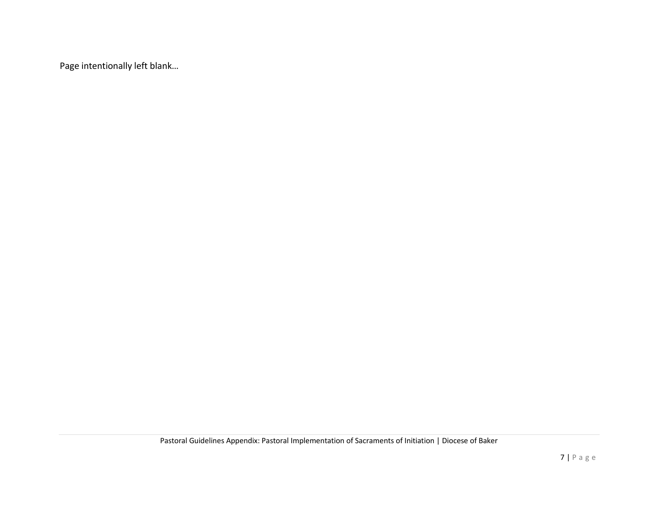Page intentionally left blank…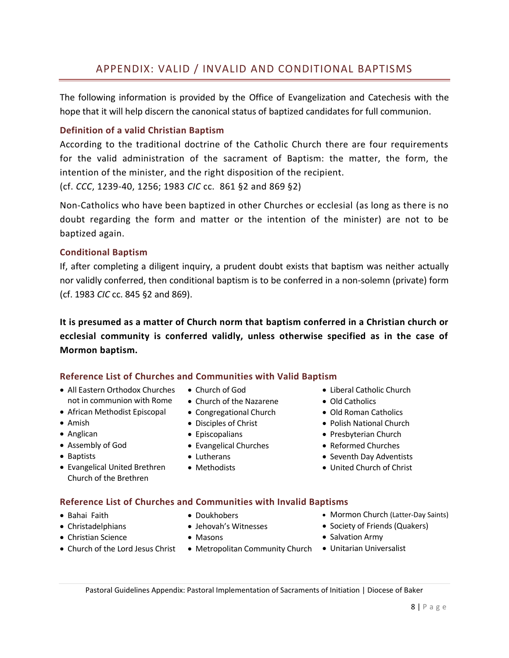### APPENDIX: VALID / INVALID AND CONDITIONAL BAPTISMS

The following information is provided by the Office of Evangelization and Catechesis with the hope that it will help discern the canonical status of baptized candidates for full communion.

### **Definition of a valid Christian Baptism**

According to the traditional doctrine of the Catholic Church there are four requirements for the valid administration of the sacrament of Baptism: the matter, the form, the intention of the minister, and the right disposition of the recipient.

(cf. *CCC*, 1239-40, 1256; 1983 *CIC* cc. 861 §2 and 869 §2)

Non-Catholics who have been baptized in other Churches or ecclesial (as long as there is no doubt regarding the form and matter or the intention of the minister) are not to be baptized again.

### **Conditional Baptism**

If, after completing a diligent inquiry, a prudent doubt exists that baptism was neither actually nor validly conferred, then conditional baptism is to be conferred in a non-solemn (private) form (cf. 1983 *CIC* cc. 845 §2 and 869).

**It is presumed as a matter of Church norm that baptism conferred in a Christian church or ecclesial community is conferred validly, unless otherwise specified as in the case of Mormon baptism.**

### **Reference List of Churches and Communities with Valid Baptism**

- All Eastern Orthodox Churches not in communion with Rome
- African Methodist Episcopal
- Amish
- Anglican
- Assembly of God
- Baptists
- Evangelical United Brethren Church of the Brethren
- Church of God
- Church of the Nazarene
- Congregational Church
- Disciples of Christ
- 
- Evangelical Churches
- Lutherans
- Methodists
- Liberal Catholic Church
- Old Catholics
- Old Roman Catholics
- Polish National Church
- Presbyterian Church
- Reformed Churches
- Seventh Day Adventists
- United Church of Christ

#### **Reference List of Churches and Communities with Invalid Baptisms**

- Bahai Faith
- Christadelphians
- Christian Science
- Doukhobers
- Jehovah's Witnesses
	- Masons
- Church of the Lord Jesus Christ
- 
- Mormon Church (Latter-Day Saints)
- Society of Friends (Quakers)
- Salvation Army
- Metropolitan Community Church Unitarian Universalist

## Episcopalians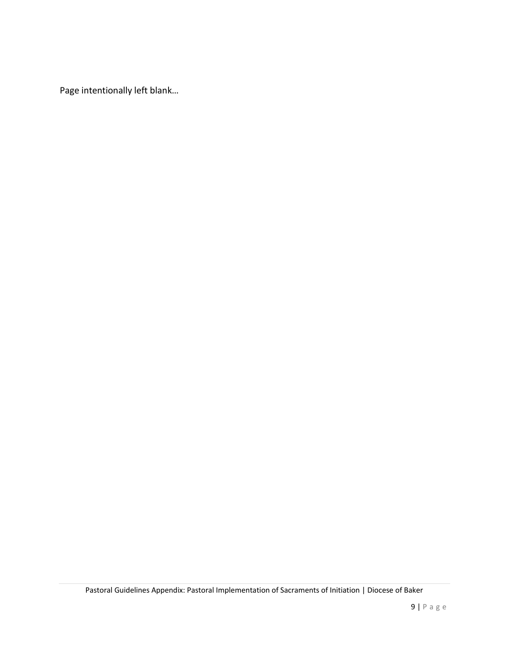Page intentionally left blank…